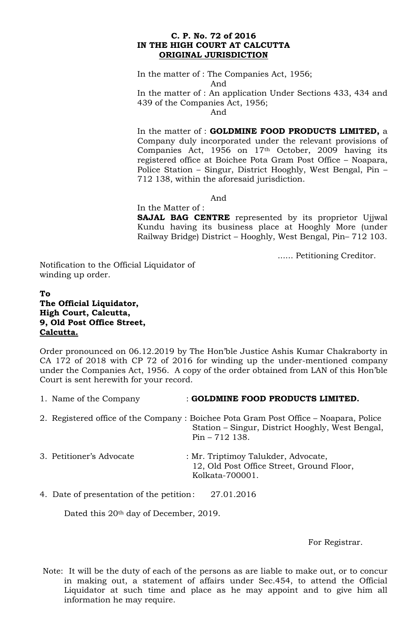### **C. P. No. 72 of 2016 IN THE HIGH COURT AT CALCUTTA ORIGINAL JURISDICTION**

In the matter of : The Companies Act, 1956; And

In the matter of : An application Under Sections 433, 434 and 439 of the Companies Act, 1956;

And

In the matter of : **GOLDMINE FOOD PRODUCTS LIMITED,** a Company duly incorporated under the relevant provisions of Companies Act, 1956 on 17<sup>th</sup> October, 2009 having its registered office at Boichee Pota Gram Post Office – Noapara, Police Station – Singur, District Hooghly, West Bengal, Pin – 712 138, within the aforesaid jurisdiction.

And

## In the Matter of :

**SAJAL BAG CENTRE** represented by its proprietor Ujjwal Kundu having its business place at Hooghly More (under Railway Bridge) District – Hooghly, West Bengal, Pin– 712 103.

...... Petitioning Creditor.

Notification to the Official Liquidator of winding up order.

# **To The Official Liquidator, High Court, Calcutta, 9, Old Post Office Street, Calcutta.**

Order pronounced on 06.12.2019 by The Hon'ble Justice Ashis Kumar Chakraborty in CA 172 of 2018 with CP 72 of 2016 for winding up the under-mentioned company under the Companies Act, 1956. A copy of the order obtained from LAN of this Hon'ble Court is sent herewith for your record.

- 1. Name of the Company : **GOLDMINE FOOD PRODUCTS LIMITED.**
- 2. Registered office of the Company : Boichee Pota Gram Post Office Noapara, Police Station – Singur, District Hooghly, West Bengal, Pin – 712 138.
- 3. Petitioner's Advocate : Mr. Triptimoy Talukder, Advocate, 12, Old Post Office Street, Ground Floor, Kolkata-700001.

4. Date of presentation of the petition: 27.01.2016

Dated this 20<sup>th</sup> day of December, 2019.

For Registrar.

Note: It will be the duty of each of the persons as are liable to make out, or to concur in making out, a statement of affairs under Sec.454, to attend the Official Liquidator at such time and place as he may appoint and to give him all information he may require.